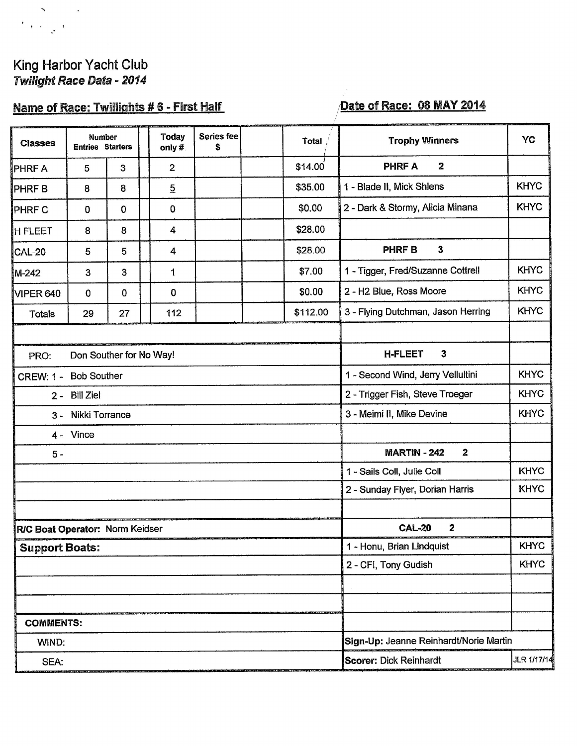# King Harbor Yacht Club<br>Twilight Race Data - 2014

 $\mathcal{S}^{\text{max}}$ 

 $\overline{f}_{\ell}$  ,  $\frac{1}{2}$ 

## Name of Race: Twillights #6 - First Half

### Date of Race: 08 MAY 2014

| <b>Classes</b>                         | <b>Number</b><br><b>Entries Starters</b> |             |  | <b>Today</b><br>only# | Series fee<br>\$ |  | Total                                            | <b>Trophy Winners</b>                   | YC          |  |
|----------------------------------------|------------------------------------------|-------------|--|-----------------------|------------------|--|--------------------------------------------------|-----------------------------------------|-------------|--|
| <b>PHRFA</b>                           | 5                                        | 3           |  | $\overline{c}$        |                  |  | \$14.00                                          | $\overline{2}$<br><b>PHRF A</b>         |             |  |
| PHRF <sub>B</sub>                      | 8                                        | 8           |  | $\overline{5}$        |                  |  | \$35.00                                          | 1 - Blade II, Mick Shlens               | <b>KHYC</b> |  |
| PHRF C                                 | 0                                        | $\mathbf 0$ |  | 0                     |                  |  | \$0.00                                           | 2 - Dark & Stormy, Alicia Minana        | <b>KHYC</b> |  |
| <b>H FLEET</b>                         | 8                                        | 8           |  | 4                     |                  |  | \$28.00                                          |                                         |             |  |
| <b>CAL-20</b>                          | 5                                        | 5           |  | 4                     |                  |  | \$28.00                                          | 3<br><b>PHRFB</b>                       |             |  |
| M-242                                  | 3                                        | 3           |  | 1                     |                  |  | \$7.00                                           | 1 - Tigger, Fred/Suzanne Cottrell       | <b>KHYC</b> |  |
| <b>VIPER 640</b>                       | $\mathbf 0$                              | 0           |  | 0                     |                  |  | \$0.00                                           | 2 - H2 Blue, Ross Moore                 | <b>KHYC</b> |  |
| Totals                                 | 29                                       | 27          |  | 112                   |                  |  | \$112.00                                         | 3 - Flying Dutchman, Jason Herring      | <b>KHYC</b> |  |
|                                        |                                          |             |  |                       |                  |  |                                                  |                                         |             |  |
| Don Souther for No Way!<br>PRO:        |                                          |             |  |                       |                  |  | <b>H-FLEET</b><br>$\mathbf{3}$                   |                                         |             |  |
| <b>Bob Souther</b><br><b>CREW: 1 -</b> |                                          |             |  |                       |                  |  | <b>KHYC</b><br>1 - Second Wind, Jerry Vellultini |                                         |             |  |
| 2 - Bill Ziel                          |                                          |             |  |                       |                  |  | <b>KHYC</b><br>2 - Trigger Fish, Steve Troeger   |                                         |             |  |
| Nikki Torrance<br>$3 -$                |                                          |             |  |                       |                  |  | <b>KHYC</b><br>3 - Meimi II, Mike Devine         |                                         |             |  |
| $4 -$ Vince                            |                                          |             |  |                       |                  |  |                                                  |                                         |             |  |
| $5 -$                                  |                                          |             |  |                       |                  |  |                                                  | <b>MARTIN - 242</b><br>$\boldsymbol{2}$ |             |  |
|                                        |                                          |             |  |                       |                  |  |                                                  | 1 - Sails Coll, Julie Coll              | <b>KHYC</b> |  |
|                                        |                                          |             |  |                       |                  |  |                                                  | 2 - Sunday Flyer, Dorian Harris         | <b>KHYC</b> |  |
|                                        |                                          |             |  |                       |                  |  |                                                  |                                         |             |  |
| RIC Boat Operator: Norm Keidser        |                                          |             |  |                       |                  |  | $\mathbf{2}$<br><b>CAL-20</b>                    |                                         |             |  |
| <b>Support Boats:</b>                  |                                          |             |  |                       |                  |  |                                                  | 1 - Honu, Brian Lindquist               | <b>KHYC</b> |  |
|                                        |                                          |             |  |                       |                  |  | <b>KHYC</b><br>2 - CFI, Tony Gudish              |                                         |             |  |
|                                        |                                          |             |  |                       |                  |  |                                                  |                                         |             |  |
|                                        |                                          |             |  |                       |                  |  |                                                  |                                         |             |  |
| <b>COMMENTS:</b>                       |                                          |             |  |                       |                  |  |                                                  |                                         |             |  |
| WIND:                                  |                                          |             |  |                       |                  |  | Sign-Up: Jeanne Reinhardt/Norie Martin           |                                         |             |  |
| SEA:                                   |                                          |             |  |                       |                  |  |                                                  | <b>Scorer: Dick Reinhardt</b>           | JLR 1/17/14 |  |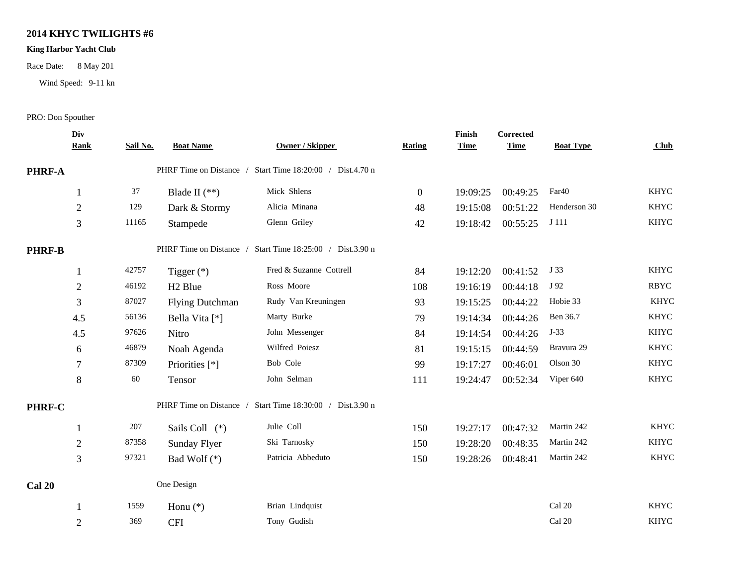#### **2014 KHYC TWILIGHTS #6**

#### **King Harbor Yacht Club**

Race Date: 8 May 201

Wind Speed: 9-11 kn

#### PRO: Don Spouther

|               | Div<br><b>Rank</b> | Sail No. | <b>Boat Name</b>        | <b>Owner / Skipper</b>                                    | Rating         | Finish<br><b>Time</b> | Corrected<br><b>Time</b> | <b>Boat Type</b>  | Club        |  |
|---------------|--------------------|----------|-------------------------|-----------------------------------------------------------|----------------|-----------------------|--------------------------|-------------------|-------------|--|
|               |                    |          |                         |                                                           |                |                       |                          |                   |             |  |
| PHRF-A        |                    |          |                         | PHRF Time on Distance / Start Time 18:20:00 / Dist.4.70 n |                |                       |                          |                   |             |  |
|               | 1                  | 37       | Blade II $(**)$         | Mick Shlens                                               | $\overline{0}$ | 19:09:25              | 00:49:25                 | Far <sub>40</sub> | <b>KHYC</b> |  |
|               | $\overline{2}$     | 129      | Dark & Stormy           | Alicia Minana                                             | 48             | 19:15:08              | 00:51:22                 | Henderson 30      | <b>KHYC</b> |  |
|               | 3                  | 11165    | Stampede                | Glenn Griley                                              | 42             | 19:18:42              | 00:55:25                 | J 111             | <b>KHYC</b> |  |
| <b>PHRF-B</b> |                    |          | PHRF Time on Distance / | Start Time 18:25:00 / Dist.3.90 n                         |                |                       |                          |                   |             |  |
|               | $\mathbf{1}$       | 42757    | Tigger $(*)$            | Fred & Suzanne Cottrell                                   | 84             | 19:12:20              | 00:41:52                 | J 33              | <b>KHYC</b> |  |
|               | $\mathbf{2}$       | 46192    | H <sub>2</sub> Blue     | Ross Moore                                                | 108            | 19:16:19              | 00:44:18                 | J 92              | <b>RBYC</b> |  |
|               | 3                  | 87027    | <b>Flying Dutchman</b>  | Rudy Van Kreuningen                                       | 93             | 19:15:25              | 00:44:22                 | Hobie 33          | <b>KHYC</b> |  |
|               | 4.5                | 56136    | Bella Vita [*]          | Marty Burke                                               | 79             | 19:14:34              | 00:44:26                 | Ben 36.7          | <b>KHYC</b> |  |
|               | 4.5                | 97626    | Nitro                   | John Messenger                                            | 84             | 19:14:54              | 00:44:26                 | $J-33$            | <b>KHYC</b> |  |
|               | 6                  | 46879    | Noah Agenda             | Wilfred Poiesz                                            | 81             | 19:15:15              | 00:44:59                 | Bravura 29        | <b>KHYC</b> |  |
|               | $\tau$             | 87309    | Priorities [*]          | Bob Cole                                                  | 99             | 19:17:27              | 00:46:01                 | Olson 30          | <b>KHYC</b> |  |
|               | 8                  | 60       | Tensor                  | John Selman                                               | 111            | 19:24:47              | 00:52:34                 | Viper 640         | <b>KHYC</b> |  |
| PHRF-C        |                    |          | PHRF Time on Distance / | Start Time 18:30:00 / Dist.3.90 n                         |                |                       |                          |                   |             |  |
|               | 1                  | 207      | Sails Coll (*)          | Julie Coll                                                | 150            | 19:27:17              | 00:47:32                 | Martin 242        | <b>KHYC</b> |  |
|               | $\boldsymbol{2}$   | 87358    | Sunday Flyer            | Ski Tarnosky                                              | 150            | 19:28:20              | 00:48:35                 | Martin 242        | <b>KHYC</b> |  |
|               | 3                  | 97321    | Bad Wolf $(*)$          | Patricia Abbeduto                                         | 150            | 19:28:26              | 00:48:41                 | Martin 242        | <b>KHYC</b> |  |
| <b>Cal 20</b> |                    |          | One Design              |                                                           |                |                       |                          |                   |             |  |
|               | 1                  | 1559     | Honu $(*)$              | Brian Lindquist                                           |                |                       |                          | Cal 20            | <b>KHYC</b> |  |
|               | $\overline{2}$     | 369      | <b>CFI</b>              | Tony Gudish                                               |                |                       |                          | Cal 20            | <b>KHYC</b> |  |
|               |                    |          |                         |                                                           |                |                       |                          |                   |             |  |